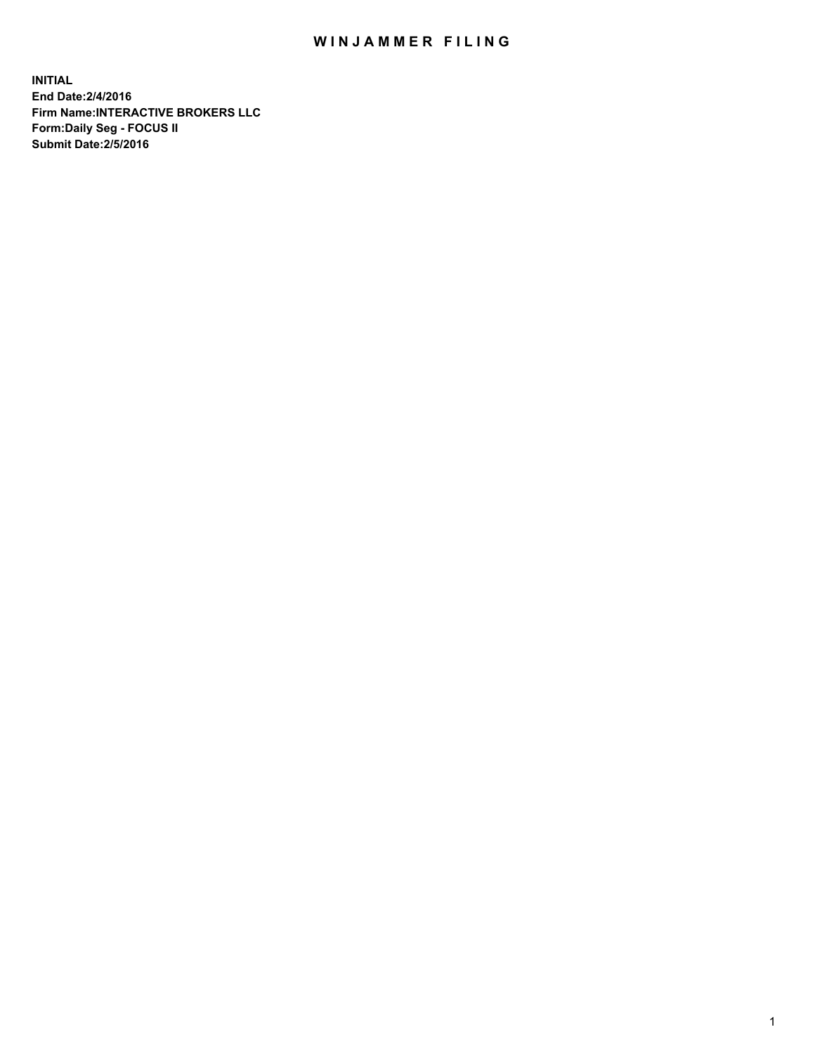## WIN JAMMER FILING

**INITIAL End Date:2/4/2016 Firm Name:INTERACTIVE BROKERS LLC Form:Daily Seg - FOCUS II Submit Date:2/5/2016**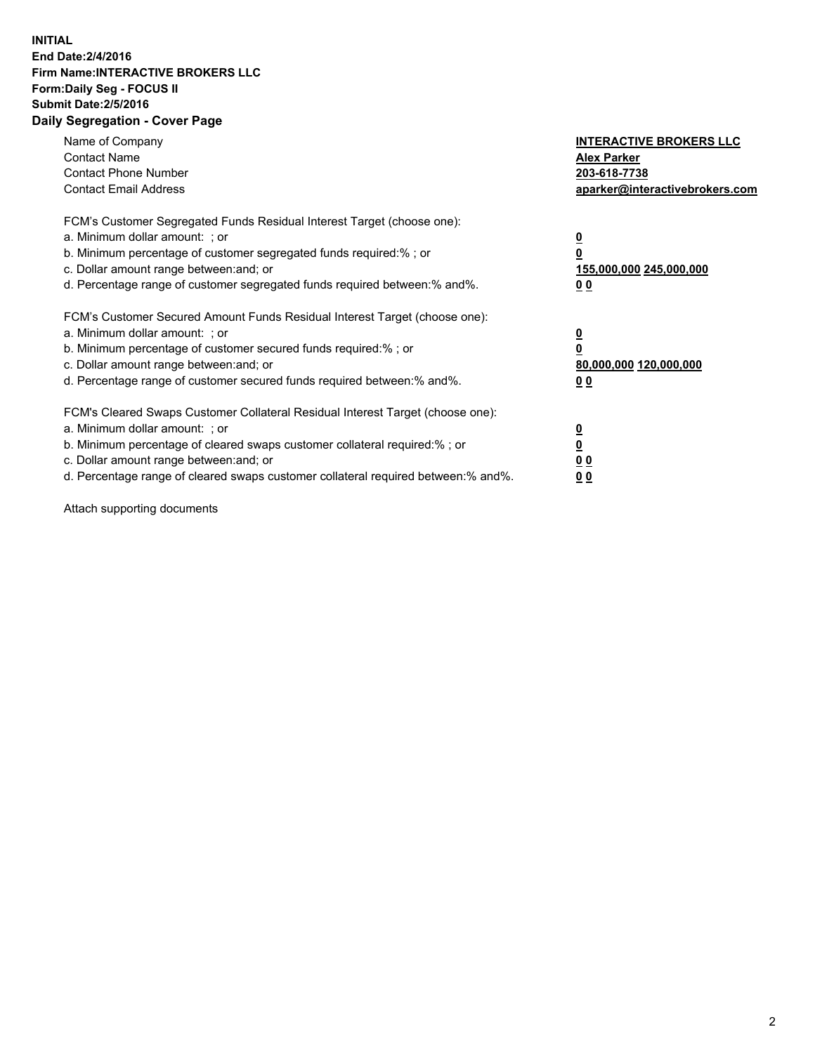## **INITIAL End Date:2/4/2016 Firm Name:INTERACTIVE BROKERS LLC Form:Daily Seg - FOCUS II Submit Date:2/5/2016 Daily Segregation - Cover Page**

| Name of Company<br><b>Contact Name</b><br><b>Contact Phone Number</b><br><b>Contact Email Address</b>                                                                                                                                                                                                                          | <b>INTERACTIVE BROKERS LLC</b><br><b>Alex Parker</b><br>203-618-7738<br>aparker@interactivebrokers.com |
|--------------------------------------------------------------------------------------------------------------------------------------------------------------------------------------------------------------------------------------------------------------------------------------------------------------------------------|--------------------------------------------------------------------------------------------------------|
| FCM's Customer Segregated Funds Residual Interest Target (choose one):<br>a. Minimum dollar amount: ; or<br>b. Minimum percentage of customer segregated funds required:%; or<br>c. Dollar amount range between: and; or<br>d. Percentage range of customer segregated funds required between:% and%.                          | <u>0</u><br>155,000,000 245,000,000<br><u>00</u>                                                       |
| FCM's Customer Secured Amount Funds Residual Interest Target (choose one):<br>a. Minimum dollar amount: ; or<br>b. Minimum percentage of customer secured funds required:%; or<br>c. Dollar amount range between: and; or<br>d. Percentage range of customer secured funds required between:% and%.                            | <u>0</u><br>80,000,000 120,000,000<br>0 <sub>0</sub>                                                   |
| FCM's Cleared Swaps Customer Collateral Residual Interest Target (choose one):<br>a. Minimum dollar amount: ; or<br>b. Minimum percentage of cleared swaps customer collateral required:% ; or<br>c. Dollar amount range between: and; or<br>d. Percentage range of cleared swaps customer collateral required between:% and%. | ₫<br>0 <sub>0</sub><br>0 <sub>0</sub>                                                                  |

Attach supporting documents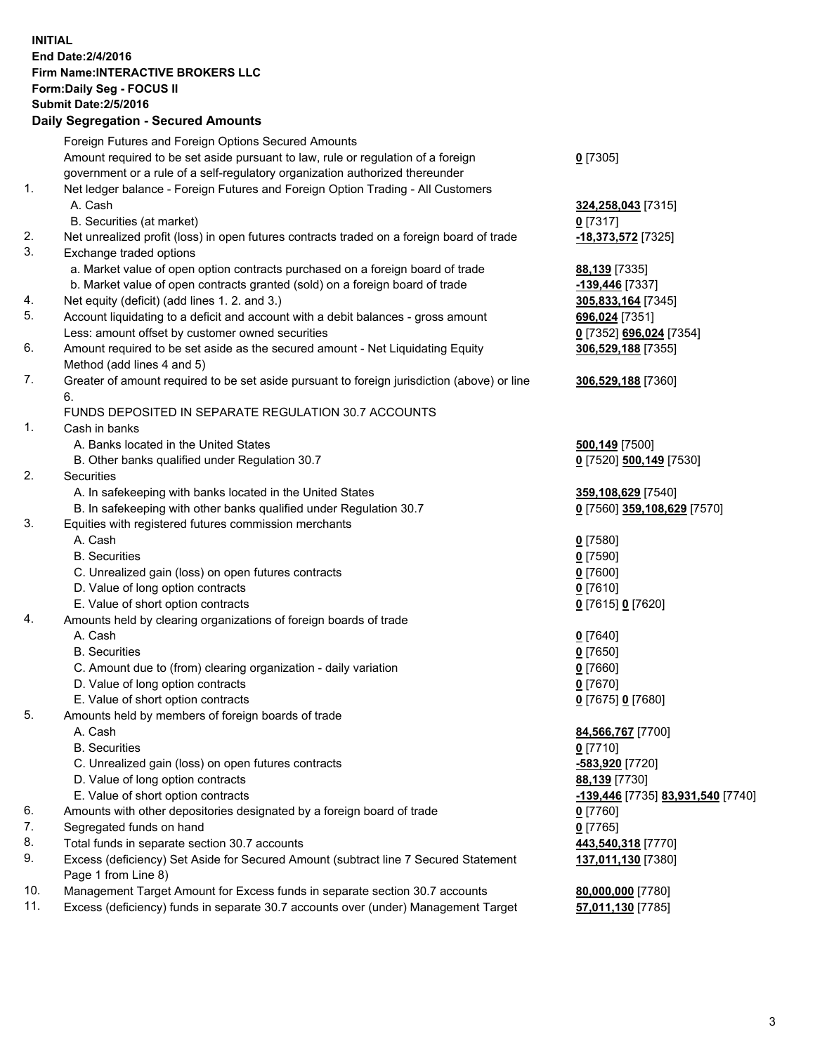## **INITIAL End Date:2/4/2016 Firm Name:INTERACTIVE BROKERS LLC Form:Daily Seg - FOCUS II Submit Date:2/5/2016 Daily Segregation - Secured Amounts**

|     | Foreign Futures and Foreign Options Secured Amounts                                         |                                   |
|-----|---------------------------------------------------------------------------------------------|-----------------------------------|
|     | Amount required to be set aside pursuant to law, rule or regulation of a foreign            | $0$ [7305]                        |
|     | government or a rule of a self-regulatory organization authorized thereunder                |                                   |
| 1.  | Net ledger balance - Foreign Futures and Foreign Option Trading - All Customers             |                                   |
|     | A. Cash                                                                                     | 324,258,043 [7315]                |
|     | B. Securities (at market)                                                                   | $0$ [7317]                        |
| 2.  | Net unrealized profit (loss) in open futures contracts traded on a foreign board of trade   | -18,373,572 [7325]                |
| 3.  | Exchange traded options                                                                     |                                   |
|     | a. Market value of open option contracts purchased on a foreign board of trade              | 88,139 [7335]                     |
|     | b. Market value of open contracts granted (sold) on a foreign board of trade                | -139,446 [7337]                   |
| 4.  | Net equity (deficit) (add lines 1.2. and 3.)                                                | 305,833,164 [7345]                |
| 5.  | Account liquidating to a deficit and account with a debit balances - gross amount           | 696,024 [7351]                    |
|     | Less: amount offset by customer owned securities                                            | 0 [7352] 696,024 [7354]           |
| 6.  | Amount required to be set aside as the secured amount - Net Liquidating Equity              | 306,529,188 [7355]                |
|     | Method (add lines 4 and 5)                                                                  |                                   |
| 7.  | Greater of amount required to be set aside pursuant to foreign jurisdiction (above) or line |                                   |
|     |                                                                                             | 306,529,188 [7360]                |
|     | 6.                                                                                          |                                   |
|     | FUNDS DEPOSITED IN SEPARATE REGULATION 30.7 ACCOUNTS                                        |                                   |
| 1.  | Cash in banks                                                                               |                                   |
|     | A. Banks located in the United States                                                       | 500,149 [7500]                    |
|     | B. Other banks qualified under Regulation 30.7                                              | 0 [7520] 500,149 [7530]           |
| 2.  | Securities                                                                                  |                                   |
|     | A. In safekeeping with banks located in the United States                                   | 359,108,629 [7540]                |
|     | B. In safekeeping with other banks qualified under Regulation 30.7                          | 0 [7560] 359,108,629 [7570]       |
| 3.  | Equities with registered futures commission merchants                                       |                                   |
|     | A. Cash                                                                                     | $0$ [7580]                        |
|     | <b>B.</b> Securities                                                                        | $0$ [7590]                        |
|     | C. Unrealized gain (loss) on open futures contracts                                         | $0$ [7600]                        |
|     | D. Value of long option contracts                                                           | $0$ [7610]                        |
|     | E. Value of short option contracts                                                          | 0 [7615] 0 [7620]                 |
| 4.  | Amounts held by clearing organizations of foreign boards of trade                           |                                   |
|     | A. Cash                                                                                     | $0$ [7640]                        |
|     | <b>B.</b> Securities                                                                        | $0$ [7650]                        |
|     | C. Amount due to (from) clearing organization - daily variation                             | $0$ [7660]                        |
|     | D. Value of long option contracts                                                           | $0$ [7670]                        |
|     | E. Value of short option contracts                                                          | 0 [7675] 0 [7680]                 |
| 5.  | Amounts held by members of foreign boards of trade                                          |                                   |
|     | A. Cash                                                                                     | 84,566,767 [7700]                 |
|     | <b>B.</b> Securities                                                                        | $0$ [7710]                        |
|     | C. Unrealized gain (loss) on open futures contracts                                         | $-583,920$ [7720]                 |
|     | D. Value of long option contracts                                                           | 88,139 [7730]                     |
|     | E. Value of short option contracts                                                          | -139,446 [7735] 83,931,540 [7740] |
| 6.  | Amounts with other depositories designated by a foreign board of trade                      | $0$ [7760]                        |
| 7.  | Segregated funds on hand                                                                    | $0$ [7765]                        |
| 8.  | Total funds in separate section 30.7 accounts                                               | 443,540,318 [7770]                |
| 9.  | Excess (deficiency) Set Aside for Secured Amount (subtract line 7 Secured Statement         | 137,011,130 [7380]                |
|     | Page 1 from Line 8)                                                                         |                                   |
| 10. | Management Target Amount for Excess funds in separate section 30.7 accounts                 | 80,000,000 [7780]                 |
| 11. | Excess (deficiency) funds in separate 30.7 accounts over (under) Management Target          | 57,011,130 [7785]                 |
|     |                                                                                             |                                   |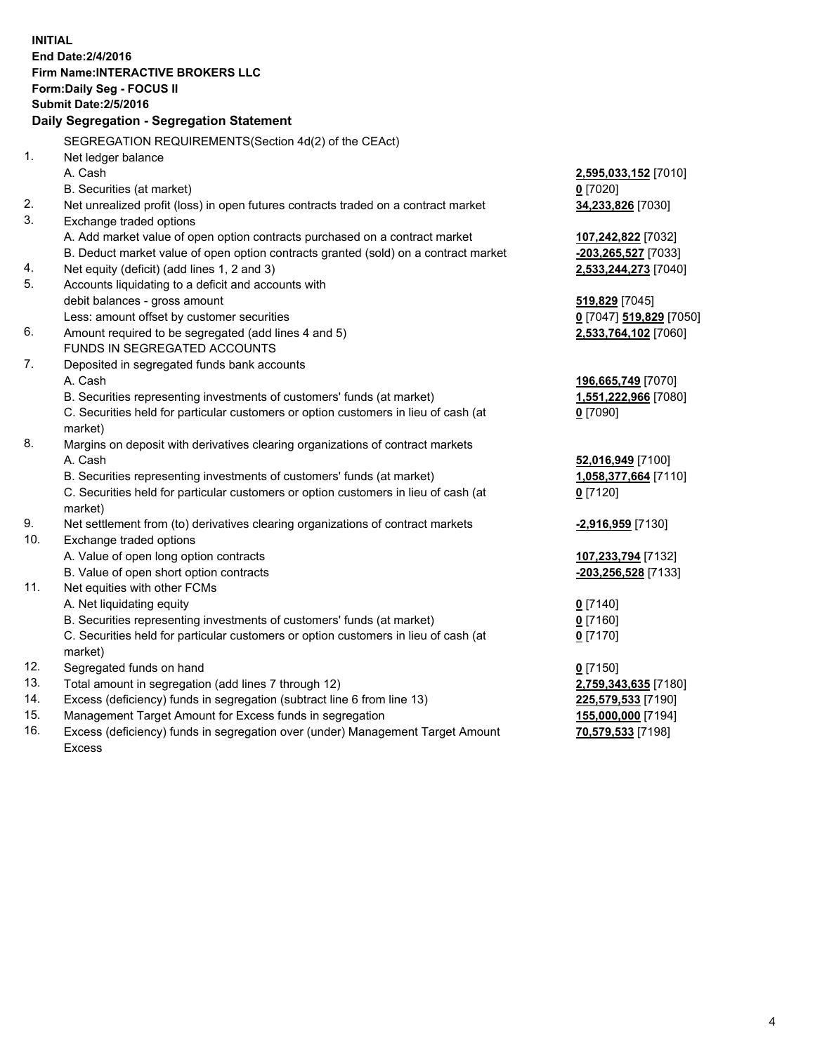**INITIAL End Date:2/4/2016 Firm Name:INTERACTIVE BROKERS LLC Form:Daily Seg - FOCUS II Submit Date:2/5/2016 Daily Segregation - Segregation Statement** SEGREGATION REQUIREMENTS(Section 4d(2) of the CEAct) 1. Net ledger balance A. Cash **2,595,033,152** [7010] B. Securities (at market) **0** [7020] 2. Net unrealized profit (loss) in open futures contracts traded on a contract market **34,233,826** [7030] 3. Exchange traded options A. Add market value of open option contracts purchased on a contract market **107,242,822** [7032] B. Deduct market value of open option contracts granted (sold) on a contract market **-203,265,527** [7033] 4. Net equity (deficit) (add lines 1, 2 and 3) **2,533,244,273** [7040] 5. Accounts liquidating to a deficit and accounts with debit balances - gross amount **519,829** [7045] Less: amount offset by customer securities **0** [7047] **519,829** [7050] 6. Amount required to be segregated (add lines 4 and 5) **2,533,764,102** [7060] FUNDS IN SEGREGATED ACCOUNTS 7. Deposited in segregated funds bank accounts A. Cash **196,665,749** [7070] B. Securities representing investments of customers' funds (at market) **1,551,222,966** [7080] C. Securities held for particular customers or option customers in lieu of cash (at market) **0** [7090] 8. Margins on deposit with derivatives clearing organizations of contract markets A. Cash **52,016,949** [7100] B. Securities representing investments of customers' funds (at market) **1,058,377,664** [7110] C. Securities held for particular customers or option customers in lieu of cash (at market) **0** [7120] 9. Net settlement from (to) derivatives clearing organizations of contract markets **-2,916,959** [7130] 10. Exchange traded options A. Value of open long option contracts **107,233,794** [7132] B. Value of open short option contracts **-203,256,528** [7133] 11. Net equities with other FCMs A. Net liquidating equity **0** [7140] B. Securities representing investments of customers' funds (at market) **0** [7160] C. Securities held for particular customers or option customers in lieu of cash (at market) **0** [7170] 12. Segregated funds on hand **0** [7150] 13. Total amount in segregation (add lines 7 through 12) **2,759,343,635** [7180] 14. Excess (deficiency) funds in segregation (subtract line 6 from line 13) **225,579,533** [7190] 15. Management Target Amount for Excess funds in segregation **155,000,000** [7194] **70,579,533** [7198]

16. Excess (deficiency) funds in segregation over (under) Management Target Amount Excess